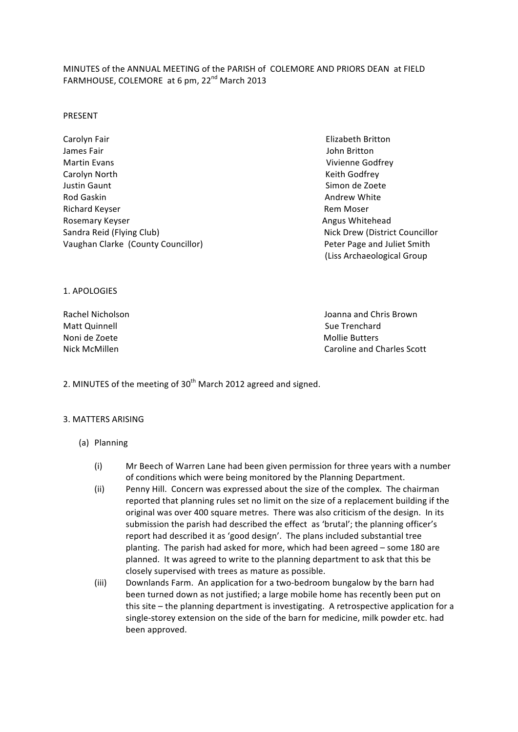# MINUTES of the ANNUAL MEETING of the PARISH of COLEMORE AND PRIORS DEAN at FIELD FARMHOUSE, COLEMORE at 6 pm, 22<sup>nd</sup> March 2013

#### PRESENT

- Carolyn Fair Elizabeth Britton James Fair John Britton Martin Evans Vivienne Godfrey Carolyn North **Example 20** Carolyn North **Matter Contact Contact Contact Contact Contact Contact Contact Contact Contact Contact Contact Contact Contact Contact Contact Contact Contact Contact Contact Contact Contact Conta** Justin Gaunt Simon de Zoete Rod Gaskin Andrew White Richard Keyser **and Community Community Community Community Community Community Community Community Community Community Community Community Community Community Community Community Community Community Community Community Co** Rosemary Keyser **and Community Community Community Community Community Community Community Community Community Community Community Community Community Community Community Community Community Community Community Community C** Sandra Reid (Flying Club) Nick Drew (District Councillor Vaughan Clarke (County Councillor) Peter Page and Juliet Smith
	- (Liss Archaeological Group

1. APOLOGIES

Matt Quinnell **and Call Community** and Call Community Community Community Community Community Community Community Community Community Community Community Community Community Community Community Community Community Communit Noni de Zoete and a content and a content and a content and a content and a content and a content and a content and a content and a content and a content and a content and a content and a content and a content and a conten

Rachel Nicholson **and Chris** Brown **and Chris** Brown **and Chris** Brown **and Chris** Brown Nick McMillen and Charles Scott and Charles Scott and Charles Scott and Charles Scott and Charles Scott and Charles Scott and Charles Scott and Charles Scott and Charles Scott and Charles Scott and Charles Scott and Charle

2. MINUTES of the meeting of  $30<sup>th</sup>$  March 2012 agreed and signed.

## 3. MATTERS ARISING

- (a) Planning
	- (i) Mr Beech of Warren Lane had been given permission for three years with a number of conditions which were being monitored by the Planning Department.
	- (ii) Penny Hill. Concern was expressed about the size of the complex. The chairman reported that planning rules set no limit on the size of a replacement building if the original was over 400 square metres. There was also criticism of the design. In its submission the parish had described the effect as 'brutal'; the planning officer's report had described it as 'good design'. The plans included substantial tree planting. The parish had asked for more, which had been agreed - some 180 are planned. It was agreed to write to the planning department to ask that this be closely supervised with trees as mature as possible.
	- (iii) Downlands Farm. An application for a two-bedroom bungalow by the barn had been turned down as not justified; a large mobile home has recently been put on this site – the planning department is investigating. A retrospective application for a single-storey extension on the side of the barn for medicine, milk powder etc. had been approved.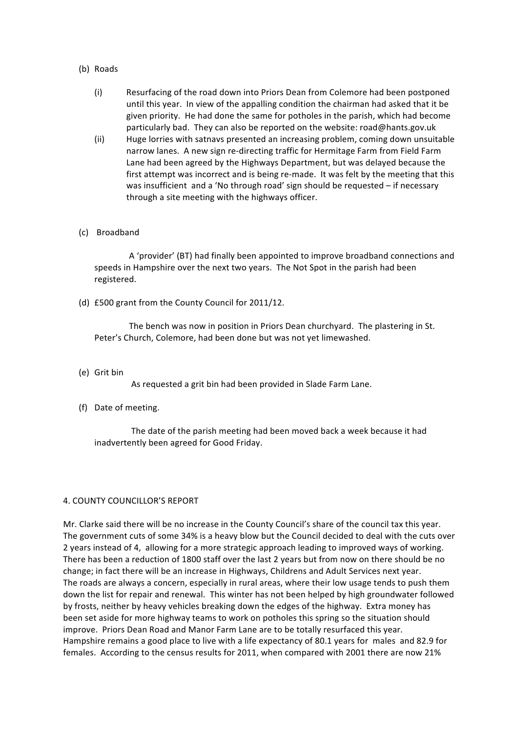- (b) Roads
	- (i) Resurfacing of the road down into Priors Dean from Colemore had been postponed until this year. In view of the appalling condition the chairman had asked that it be given priority. He had done the same for potholes in the parish, which had become particularly bad. They can also be reported on the website: road@hants.gov.uk
	- (ii) Huge lorries with satnavs presented an increasing problem, coming down unsuitable narrow lanes. A new sign re-directing traffic for Hermitage Farm from Field Farm Lane had been agreed by the Highways Department, but was delayed because the first attempt was incorrect and is being re-made. It was felt by the meeting that this was insufficient and a 'No through road' sign should be requested – if necessary through a site meeting with the highways officer.
- (c) Broadband

A 'provider' (BT) had finally been appointed to improve broadband connections and speeds in Hampshire over the next two years. The Not Spot in the parish had been registered.

(d) £500 grant from the County Council for 2011/12.

The bench was now in position in Priors Dean churchyard. The plastering in St. Peter's Church, Colemore, had been done but was not yet limewashed.

(e) Grit bin

As requested a grit bin had been provided in Slade Farm Lane.

(f) Date of meeting.

The date of the parish meeting had been moved back a week because it had inadvertently been agreed for Good Friday.

## 4. COUNTY COUNCILLOR'S REPORT

Mr. Clarke said there will be no increase in the County Council's share of the council tax this year. The government cuts of some 34% is a heavy blow but the Council decided to deal with the cuts over 2 years instead of 4, allowing for a more strategic approach leading to improved ways of working. There has been a reduction of 1800 staff over the last 2 years but from now on there should be no change; in fact there will be an increase in Highways, Childrens and Adult Services next year. The roads are always a concern, especially in rural areas, where their low usage tends to push them down the list for repair and renewal. This winter has not been helped by high groundwater followed by frosts, neither by heavy vehicles breaking down the edges of the highway. Extra money has been set aside for more highway teams to work on potholes this spring so the situation should improve. Priors Dean Road and Manor Farm Lane are to be totally resurfaced this year. Hampshire remains a good place to live with a life expectancy of 80.1 years for males and 82.9 for females. According to the census results for 2011, when compared with 2001 there are now 21%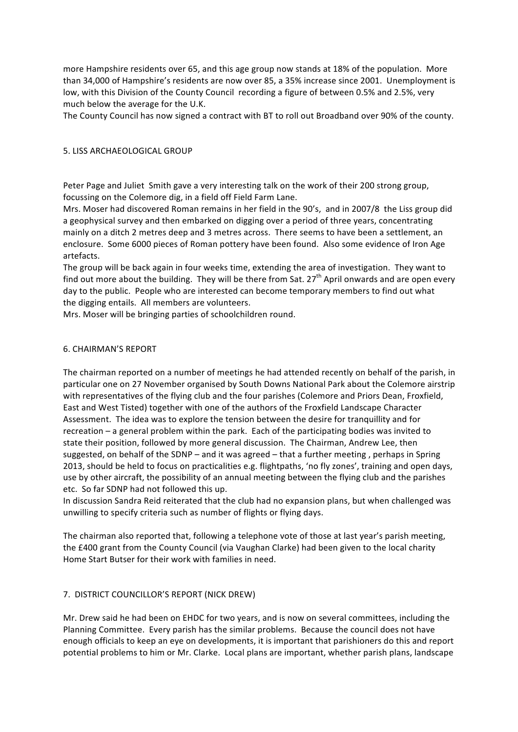more Hampshire residents over 65, and this age group now stands at 18% of the population. More than 34,000 of Hampshire's residents are now over 85, a 35% increase since 2001. Unemployment is low, with this Division of the County Council recording a figure of between 0.5% and 2.5%, very much below the average for the U.K.

The County Council has now signed a contract with BT to roll out Broadband over 90% of the county.

## 5. LISS ARCHAEOLOGICAL GROUP

Peter Page and Juliet Smith gave a very interesting talk on the work of their 200 strong group, focussing on the Colemore dig, in a field off Field Farm Lane.

Mrs. Moser had discovered Roman remains in her field in the 90's, and in 2007/8 the Liss group did a geophysical survey and then embarked on digging over a period of three years, concentrating mainly on a ditch 2 metres deep and 3 metres across. There seems to have been a settlement, an enclosure. Some 6000 pieces of Roman pottery have been found. Also some evidence of Iron Age artefacts.

The group will be back again in four weeks time, extending the area of investigation. They want to find out more about the building. They will be there from Sat.  $27<sup>th</sup>$  April onwards and are open every day to the public. People who are interested can become temporary members to find out what the digging entails. All members are volunteers.

Mrs. Moser will be bringing parties of schoolchildren round.

## 6. CHAIRMAN'S REPORT

The chairman reported on a number of meetings he had attended recently on behalf of the parish, in particular one on 27 November organised by South Downs National Park about the Colemore airstrip with representatives of the flying club and the four parishes (Colemore and Priors Dean, Froxfield, East and West Tisted) together with one of the authors of the Froxfield Landscape Character Assessment. The idea was to explore the tension between the desire for tranquillity and for recreation - a general problem within the park. Each of the participating bodies was invited to state their position, followed by more general discussion. The Chairman, Andrew Lee, then suggested, on behalf of the SDNP – and it was agreed – that a further meeting, perhaps in Spring 2013, should be held to focus on practicalities e.g. flightpaths, 'no fly zones', training and open days, use by other aircraft, the possibility of an annual meeting between the flying club and the parishes etc. So far SDNP had not followed this up.

In discussion Sandra Reid reiterated that the club had no expansion plans, but when challenged was unwilling to specify criteria such as number of flights or flying days.

The chairman also reported that, following a telephone vote of those at last year's parish meeting, the £400 grant from the County Council (via Vaughan Clarke) had been given to the local charity Home Start Butser for their work with families in need.

## 7. DISTRICT COUNCILLOR'S REPORT (NICK DREW)

Mr. Drew said he had been on EHDC for two years, and is now on several committees, including the Planning Committee. Every parish has the similar problems. Because the council does not have enough officials to keep an eye on developments, it is important that parishioners do this and report potential problems to him or Mr. Clarke. Local plans are important, whether parish plans, landscape